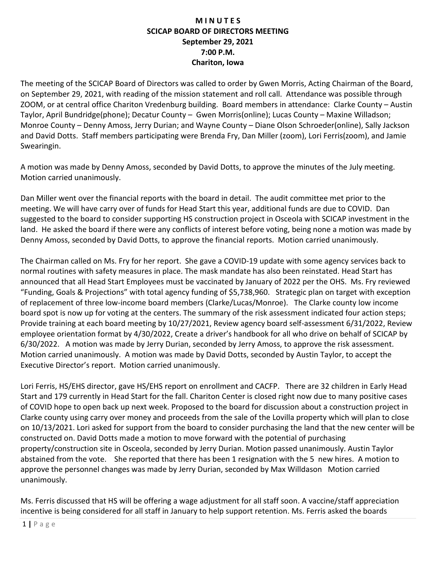## **M I N U T E S SCICAP BOARD OF DIRECTORS MEETING September 29, 2021 7:00 P.M. Chariton, Iowa**

The meeting of the SCICAP Board of Directors was called to order by Gwen Morris, Acting Chairman of the Board, on September 29, 2021, with reading of the mission statement and roll call. Attendance was possible through ZOOM, or at central office Chariton Vredenburg building. Board members in attendance: Clarke County – Austin Taylor, April Bundridge(phone); Decatur County – Gwen Morris(online); Lucas County – Maxine Willadson; Monroe County – Denny Amoss, Jerry Durian; and Wayne County – Diane Olson Schroeder(online), Sally Jackson and David Dotts. Staff members participating were Brenda Fry, Dan Miller (zoom), Lori Ferris(zoom), and Jamie Swearingin.

A motion was made by Denny Amoss, seconded by David Dotts, to approve the minutes of the July meeting. Motion carried unanimously.

Dan Miller went over the financial reports with the board in detail. The audit committee met prior to the meeting. We will have carry over of funds for Head Start this year, additional funds are due to COVID. Dan suggested to the board to consider supporting HS construction project in Osceola with SCICAP investment in the land. He asked the board if there were any conflicts of interest before voting, being none a motion was made by Denny Amoss, seconded by David Dotts, to approve the financial reports. Motion carried unanimously.

The Chairman called on Ms. Fry for her report. She gave a COVID-19 update with some agency services back to normal routines with safety measures in place. The mask mandate has also been reinstated. Head Start has announced that all Head Start Employees must be vaccinated by January of 2022 per the OHS. Ms. Fry reviewed "Funding, Goals & Projections" with total agency funding of \$5,738,960. Strategic plan on target with exception of replacement of three low-income board members (Clarke/Lucas/Monroe). The Clarke county low income board spot is now up for voting at the centers. The summary of the risk assessment indicated four action steps; Provide training at each board meeting by 10/27/2021, Review agency board self-assessment 6/31/2022, Review employee orientation format by 4/30/2022, Create a driver's handbook for all who drive on behalf of SCICAP by 6/30/2022. A motion was made by Jerry Durian, seconded by Jerry Amoss, to approve the risk assessment. Motion carried unanimously. A motion was made by David Dotts, seconded by Austin Taylor, to accept the Executive Director's report. Motion carried unanimously.

Lori Ferris, HS/EHS director, gave HS/EHS report on enrollment and CACFP. There are 32 children in Early Head Start and 179 currently in Head Start for the fall. Chariton Center is closed right now due to many positive cases of COVID hope to open back up next week. Proposed to the board for discussion about a construction project in Clarke county using carry over money and proceeds from the sale of the Lovilla property which will plan to close on 10/13/2021. Lori asked for support from the board to consider purchasing the land that the new center will be constructed on. David Dotts made a motion to move forward with the potential of purchasing property/construction site in Osceola, seconded by Jerry Durian. Motion passed unanimously. Austin Taylor abstained from the vote. She reported that there has been 1 resignation with the 5 new hires. A motion to approve the personnel changes was made by Jerry Durian, seconded by Max Willdason Motion carried unanimously.

Ms. Ferris discussed that HS will be offering a wage adjustment for all staff soon. A vaccine/staff appreciation incentive is being considered for all staff in January to help support retention. Ms. Ferris asked the boards